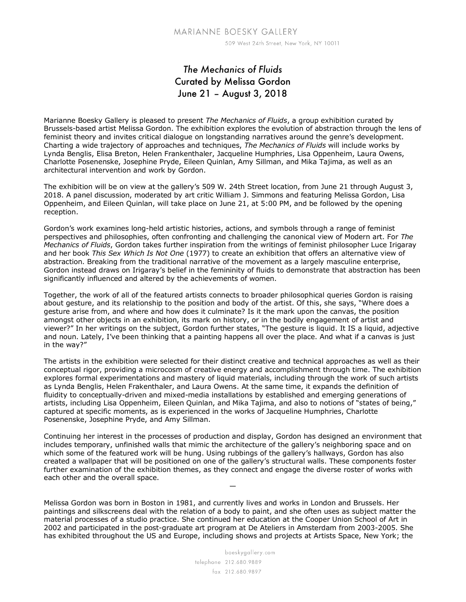## *The Mechanics of Fluids* Curated by Melissa Gordon June 21 – August 3, 2018

Marianne Boesky Gallery is pleased to present *The Mechanics of Fluids*, a group exhibition curated by Brussels-based artist Melissa Gordon. The exhibition explores the evolution of abstraction through the lens of feminist theory and invites critical dialogue on longstanding narratives around the genre's development. Charting a wide trajectory of approaches and techniques, *The Mechanics of Fluids* will include works by Lynda Benglis, Elisa Breton, Helen Frankenthaler, Jacqueline Humphries, Lisa Oppenheim, Laura Owens, Charlotte Posenenske, Josephine Pryde, Eileen Quinlan, Amy Sillman, and Mika Tajima, as well as an architectural intervention and work by Gordon.

The exhibition will be on view at the gallery's 509 W. 24th Street location, from June 21 through August 3, 2018. A panel discussion, moderated by art critic William J. Simmons and featuring Melissa Gordon, Lisa Oppenheim, and Eileen Quinlan, will take place on June 21, at 5:00 PM, and be followed by the opening reception.

Gordon's work examines long-held artistic histories, actions, and symbols through a range of feminist perspectives and philosophies, often confronting and challenging the canonical view of Modern art. For *The Mechanics of Fluids*, Gordon takes further inspiration from the writings of feminist philosopher Luce Irigaray and her book *This Sex Which Is Not One* (1977) to create an exhibition that offers an alternative view of abstraction. Breaking from the traditional narrative of the movement as a largely masculine enterprise, Gordon instead draws on Irigaray's belief in the femininity of fluids to demonstrate that abstraction has been significantly influenced and altered by the achievements of women.

Together, the work of all of the featured artists connects to broader philosophical queries Gordon is raising about gesture, and its relationship to the position and body of the artist. Of this, she says, "Where does a gesture arise from, and where and how does it culminate? Is it the mark upon the canvas, the position amongst other objects in an exhibition, its mark on history, or in the bodily engagement of artist and viewer?" In her writings on the subject, Gordon further states, "The gesture is liquid. It IS a liquid, adjective and noun. Lately, I've been thinking that a painting happens all over the place. And what if a canvas is just in the way?"

The artists in the exhibition were selected for their distinct creative and technical approaches as well as their conceptual rigor, providing a microcosm of creative energy and accomplishment through time. The exhibition explores formal experimentations and mastery of liquid materials, including through the work of such artists as Lynda Benglis, Helen Frakenthaler, and Laura Owens. At the same time, it expands the definition of fluidity to conceptually-driven and mixed-media installations by established and emerging generations of artists, including Lisa Oppenheim, Eileen Quinlan, and Mika Tajima, and also to notions of "states of being," captured at specific moments, as is experienced in the works of Jacqueline Humphries, Charlotte Posenenske, Josephine Pryde, and Amy Sillman.

Continuing her interest in the processes of production and display, Gordon has designed an environment that includes temporary, unfinished walls that mimic the architecture of the gallery's neighboring space and on which some of the featured work will be hung. Using rubbings of the gallery's hallways, Gordon has also created a wallpaper that will be positioned on one of the gallery's structural walls. These components foster further examination of the exhibition themes, as they connect and engage the diverse roster of works with each other and the overall space.

—

Melissa Gordon was born in Boston in 1981, and currently lives and works in London and Brussels. Her paintings and silkscreens deal with the relation of a body to paint, and she often uses as subject matter the material processes of a studio practice. She continued her education at the Cooper Union School of Art in 2002 and participated in the post-graduate art program at De Ateliers in Amsterdam from 2003-2005. She has exhibited throughout the US and Europe, including shows and projects at Artists Space, New York; the

> boeskygallery.com telephone 212.680.9889 fax 212.680.9897